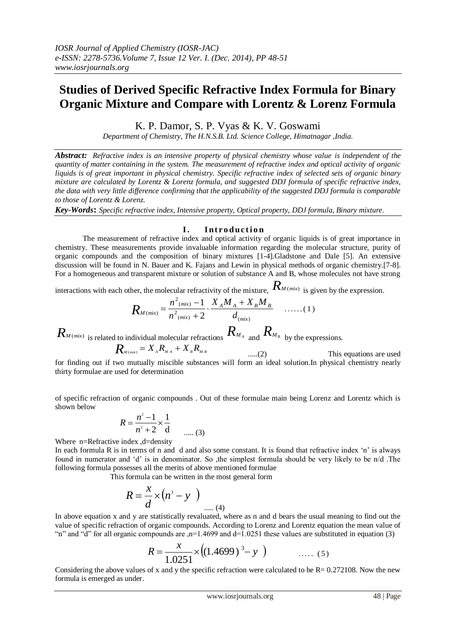# **Studies of Derived Specific Refractive Index Formula for Binary Organic Mixture and Compare with Lorentz & Lorenz Formula**

K. P. Damor, S. P. Vyas & K. V. Goswami

*Department of Chemistry, The H.N.S.B. Ltd. Science College, Himatnagar ,India.*

*Abstract: Refractive index is an intensive property of physical chemistry whose value is independent of the quantity of matter containing in the system. The measurement of refractive index and optical activity of organic liquids is of great important in physical chemistry. Specific refractive index of selected sets of organic binary mixture are calculated by Lorentz & Lorenz formula, and suggested DDJ formula of specific refractive index, the data with very little difference confirming that the applicability of the suggested DDJ formula is comparable to those of Lorentz & Lorenz.* 

*Key-Words***:** *Specific refractive index, Intensive property, Optical property, DDJ formula, Binary mixture.* 

# **I.** Introduction

The measurement of refractive index and optical activity of organic liquids is of great importance in chemistry. These measurements provide invaluable information regarding the molecular structure, purity of organic compounds and the composition of binary mixtures [1-4].Gladstone and Dale [5]. An extensive discussion will be found in N. Bauer and K. Fajans and Lewin in physical methods of organic chemistry.[7-8]. For a homogeneous and transparent mixture or solution of substance A and B, whose molecules not have strong

interactions with each other, the molecular refractivity of the mixture,  $R_{M(mix)}$  is given by the expression.

$$
R_{M(mix)} = \frac{n^2_{(mix)} - 1}{n^2_{(mix)} + 2} \cdot \frac{X_A M_A + X_B M_B}{d_{(mix)}} \quad \ldots \ldots (1)
$$

 $R_{M(mix)}$  is related to individual molecular refractions  $R_{M_A}$  and  $R_{M_B}$  by the expressions.

$$
R_{M(mix)} = X_{A}R_{M A} + X_{B}R_{M B}
$$
 ....(2) This equations are used for finding out if two mutually inside substances will form an ideal solution. In physical chemistry nearly thirty formulae are used for determination

of specific refraction of organic compounds . Out of these formulae main being Lorenz and Lorentz which is shown below

$$
R = \frac{n^2 - 1}{n^2 + 2} \times \frac{1}{d}
$$
 ...... (3)

Where n=Refractive index ,d=density

In each formula R is in terms of n and d and also some constant. It is found that refractive index "n" is always found in numerator and "d" is in denominator. So ,the simplest formula should be very likely to be n/d .The following formula possesses all the merits of above mentioned formulae

This formula can be written in the most general form

$$
R = \frac{x}{d} \times (n^3 - y)
$$
 .... (4)

In above equation x and y are statistically revaluated, where as n and d bears the usual meaning to find out the value of specific refraction of organic compounds. According to Lorenz and Lorentz equation the mean value of "n" and "d" for all organic compounds are ,n=1.4699 and d=1.0251 these values are substituted in equation (3)

$$
R = \frac{x}{1.0251} \times ((1.4699)^3 - y) \quad \dots (5)
$$

Considering the above values of x and y the specific refraction were calculated to be  $R = 0.272108$ . Now the new formula is emerged as under.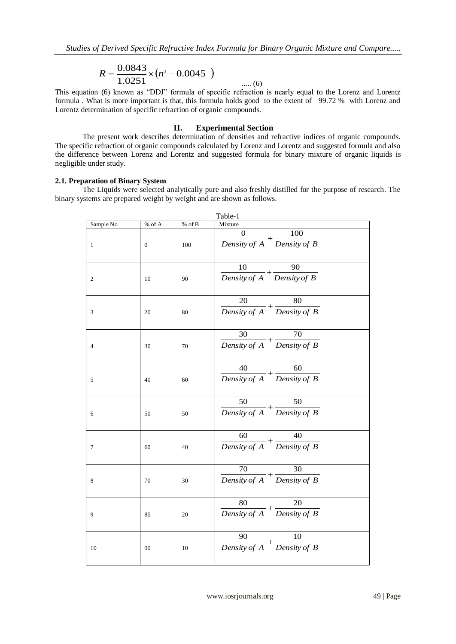$$
R = \frac{0.0843}{1.0251} \times (n^3 - 0.0045)
$$
 ...... (6)

This equation (6) known as "DDJ" formula of specific refraction is nearly equal to the Lorenz and Lorentz formula . What is more important is that, this formula holds good to the extent of 99.72 % with Lorenz and Lorentz determination of specific refraction of organic compounds.

# **II. Experimental Section**

The present work describes determination of densities and refractive indices of organic compounds. The specific refraction of organic compounds calculated by Lorenz and Lorentz and suggested formula and also the difference between Lorenz and Lorentz and suggested formula for binary mixture of organic liquids is negligible under study.

# **2.1. Preparation of Binary System**

The Liquids were selected analytically pure and also freshly distilled for the purpose of research. The binary systems are prepared weight by weight and are shown as follows.

| Table-1                     |                  |          |                                                                             |  |  |  |  |  |
|-----------------------------|------------------|----------|-----------------------------------------------------------------------------|--|--|--|--|--|
| Sample No                   | $\%$ of A        | $%$ of B | Mixture                                                                     |  |  |  |  |  |
| $\mathbf{1}$                | $\boldsymbol{0}$ | 100      | $\mathbf{0}$<br>100<br>$\frac{6}{Density of A} + \frac{100}{Density of B}$  |  |  |  |  |  |
| $\overline{c}$              | 10               | 90       | 90<br>10<br>$\frac{16}{Density of A} + \frac{96}{Density of B}$             |  |  |  |  |  |
| $\ensuremath{\mathfrak{Z}}$ | 20               | 80       | 20<br>80<br>$\frac{20}{Density\ of\ A} + \frac{60}{Density\ of\ B}$         |  |  |  |  |  |
| $\overline{4}$              | 30               | 70       | 30<br>70<br>$\frac{55}{Density of A} + \frac{76}{Density of B}$             |  |  |  |  |  |
| 5                           | 40               | 60       | 40<br>60<br>$\frac{40}{Density\ of\ A} + \frac{60}{Density\ of\ B}$         |  |  |  |  |  |
| 6                           | $50\,$           | 50       | 50<br>50<br>$\frac{1}{\text{Density of A}} + \frac{1}{\text{Density of B}}$ |  |  |  |  |  |
| $\boldsymbol{7}$            | 60               | 40       | 60<br>40<br>Density of $A$ Density of $B$                                   |  |  |  |  |  |
| 8                           | 70               | 30       | 70<br>30<br>$\frac{76}{Density\ of\ A} + \frac{36}{Density\ of\ B}$         |  |  |  |  |  |
| 9                           | 80               | 20       | 80<br>20<br>$\frac{60}{Density\ of\ A} + \frac{20}{Density\ of\ B}$         |  |  |  |  |  |
| 10                          | 90               | 10       | 90<br>10<br>Density of $A$ Density of $B$                                   |  |  |  |  |  |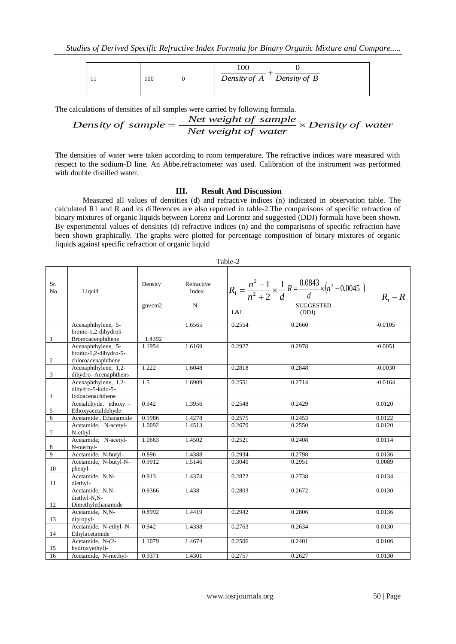|--|

The calculations of densities of all samples were carried by following formula.

Density of sample = 
$$
\frac{Net weight of sample}{Net weight of water} \times Density of water
$$

The densities of water were taken according to room temperature. The refractive indices ware measured with respect to the sodium-D line. An Abbe.refractometer was used. Calibration of the instrument was performed with double distilled water.

#### **III. Result And Discussion**

Measured all values of densities (d) and refractive indices (n) indicated in observation table. The calculated R1 and R and its differences are also reported in table-2.The comparisons of specific refraction of binary mixtures of organic liquids between Lorenz and Lorentz and suggested (DDJ) formula have been shown. By experimental values of densities (d) refractive indices (n) and the comparisons of specific refraction have been shown graphically. The graphs were plotted for percentage composition of binary mixtures of organic liquids against specific refraction of organic liquid

| Table-2               |                                                                  |                   |                                  |        |                                                                                                                            |           |  |  |  |
|-----------------------|------------------------------------------------------------------|-------------------|----------------------------------|--------|----------------------------------------------------------------------------------------------------------------------------|-----------|--|--|--|
| Sr.<br>N <sub>0</sub> | Liquid                                                           | Density<br>gm/cm2 | Refractive<br>Index<br>${\bf N}$ | L&L    | $R_1 = \frac{n^2 - 1}{n^2 + 2} \times \frac{1}{d} R = \frac{0.0843}{d} \times (n^3 - 0.0045)$<br><b>SUGGESTED</b><br>(DDJ) | $R_1 - R$ |  |  |  |
| $\mathbf{1}$          | Acenaphthylene, 5-<br>bromo-1,2-dihydro5-<br>Bromoacenphthene    | 1.4392            | 1.6565                           | 0.2554 | 0.2660                                                                                                                     | $-0.0105$ |  |  |  |
| $\overline{2}$        | Acenaphthylene, 5-<br>bromo-1,2-dihydro-5-<br>chloroacenaphthene | 1.1954            | 1.6169                           | 0.2927 | 0.2978                                                                                                                     | $-0.0051$ |  |  |  |
| 3                     | Acenaphthylene, 1,2-<br>dihydro-Acenaphthens                     | 1.222             | 1.6048                           | 0.2818 | 0.2848                                                                                                                     | $-0.0030$ |  |  |  |
| $\overline{4}$        | Acenaphthylene, $1,2$ -<br>dihydro-5-iodo-5-<br>Iodoacenachthene | 1.5               | 1.6909                           | 0.2551 | 0.2714                                                                                                                     | $-0.0164$ |  |  |  |
| 5                     | Acetaldhyde, ethoxy -<br>Ethoxyacetaldehyde                      | 0.942             | 1.3956                           | 0.2548 | 0.2429                                                                                                                     | 0.0120    |  |  |  |
| 6                     | Acetamide, Ethanamide                                            | 0.9986            | 1.4278                           | 0.2575 | 0.2453                                                                                                                     | 0.0122    |  |  |  |
| $\tau$                | Acetamide, N-acetyl-<br>N-ethyl-                                 | 1.0092            | 1.4513                           | 0.2670 | 0.2550                                                                                                                     | 0.0120    |  |  |  |
| $\,8\,$               | Acetamide, N-acetyl-<br>N-methyl-                                | 1.0663            | 1.4502                           | 0.2521 | 0.2408                                                                                                                     | 0.0114    |  |  |  |
| $\overline{9}$        | Acetamide, N-butyl-                                              | 0.896             | 1.4388                           | 0.2934 | 0.2798                                                                                                                     | 0.0136    |  |  |  |
| 10                    | Acetamide, N-butyl-N-<br>phenyl-                                 | 0.9912            | 1.5146                           | 0.3040 | 0.2951                                                                                                                     | 0.0089    |  |  |  |
| 11                    | Acetamide, N,N-<br>diethyl-                                      | 0.913             | 1.4374                           | 0.2872 | 0.2738                                                                                                                     | 0.0134    |  |  |  |
| 12                    | Acetamide, N,N-<br>diethyl-N,N-<br>Dimethylethanamide            | 0.9366            | 1.438                            | 0.2803 | 0.2672                                                                                                                     | 0.0130    |  |  |  |
| 13                    | Acetamide, N,N-<br>dipropyl-                                     | 0.8992            | 1.4419                           | 0.2942 | 0.2806                                                                                                                     | 0.0136    |  |  |  |
| 14                    | Acetamide, N-ethyl-N-<br>Ethylacetamide                          | 0.942             | 1.4338                           | 0.2763 | 0.2634                                                                                                                     | 0.0130    |  |  |  |
| 15                    | Acetamide, N-(2-<br>hydroxyethyl)-                               | 1.1079            | 1.4674                           | 0.2506 | 0.2401                                                                                                                     | 0.0106    |  |  |  |
| 16                    | Acetamide, N-methyl-                                             | 0.9371            | 1.4301                           | 0.2757 | 0.2627                                                                                                                     | 0.0130    |  |  |  |